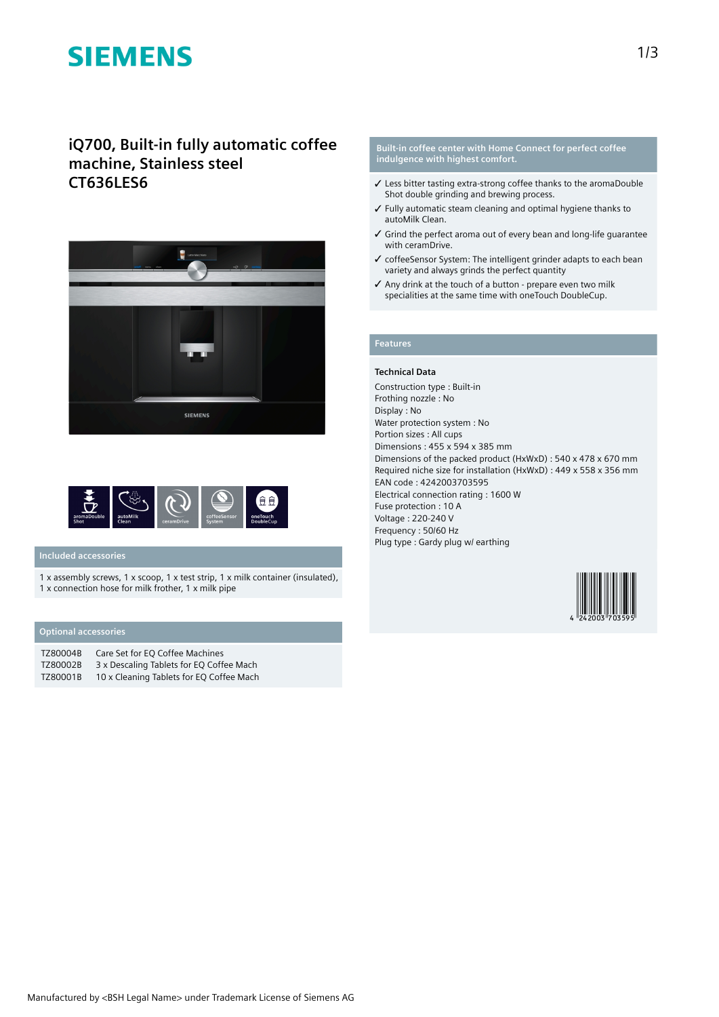# **SIEMENS**

# **iQ700, Built-in fully automatic coffee machine, Stainless steel CT636LES6**





## **Included accessories**

1 x assembly screws, 1 x scoop, 1 x test strip, 1 x milk container (insulated), 1 x connection hose for milk frother, 1 x milk pipe

## **Optional accessories**

| TZ80004B | Care Set for EO Coffee Machines          |
|----------|------------------------------------------|
| TZ80002B | 3 x Descaling Tablets for EQ Coffee Mach |
| TZ80001B | 10 x Cleaning Tablets for EQ Coffee Mach |

### **Built-in coffee center with Home Connect for perfect coffee indulgence with highest comfort.**

- ✓ Less bitter tasting extra-strong coffee thanks to the aromaDouble Shot double grinding and brewing process.
- ✓ Fully automatic steam cleaning and optimal hygiene thanks to autoMilk Clean.
- ✓ Grind the perfect aroma out of every bean and long-life guarantee with ceramDrive.
- ✓ coffeeSensor System: The intelligent grinder adapts to each bean variety and always grinds the perfect quantity
- ✓ Any drink at the touch of a button prepare even two milk specialities at the same time with oneTouch DoubleCup.

# **Features**

### **Technical Data**

Construction type : Built-in Frothing nozzle : No Display : No Water protection system : No Portion sizes : All cups Dimensions : 455 x 594 x 385 mm Dimensions of the packed product (HxWxD) : 540 x 478 x 670 mm Required niche size for installation (HxWxD) : 449 x 558 x 356 mm EAN code : 4242003703595 Electrical connection rating : 1600 W Fuse protection : 10 A Voltage : 220-240 V Frequency : 50/60 Hz Plug type : Gardy plug w/ earthing

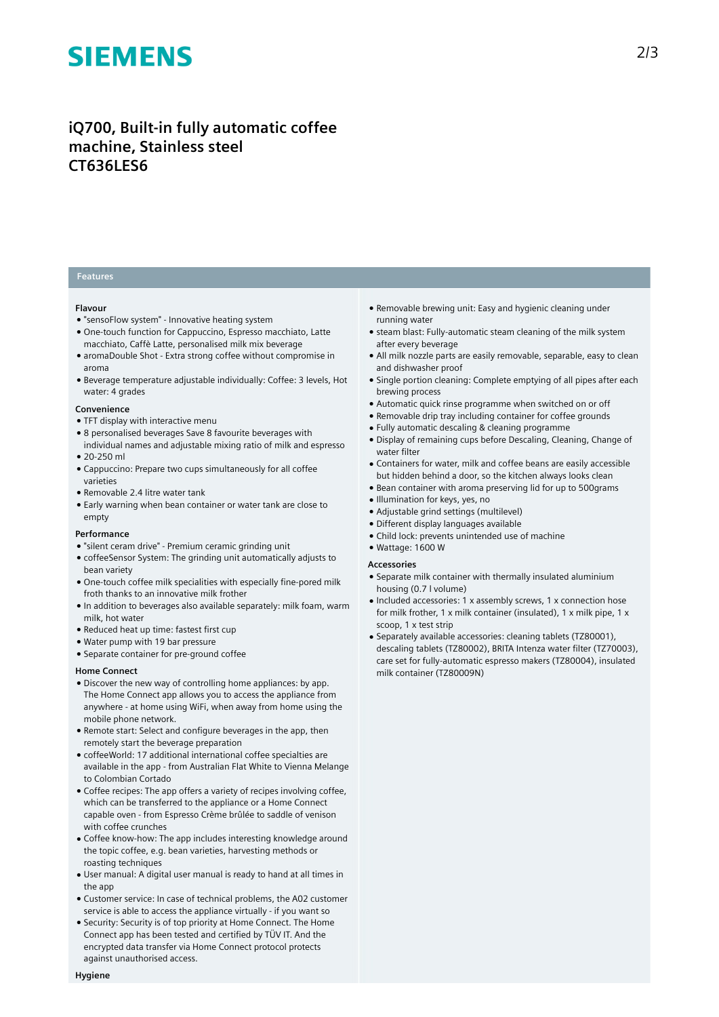# **SIEMENS**

# **iQ700, Built-in fully automatic coffee machine, Stainless steel CT636LES6**

## **Features**

### **Flavour**

- "sensoFlow system" Innovative heating system
- One-touch function for Cappuccino, Espresso macchiato, Latte macchiato, Caffè Latte, personalised milk mix beverage
- aromaDouble Shot Extra strong coffee without compromise in aroma
- Beverage temperature adjustable individually: Coffee: 3 levels, Hot water: 4 grades

### **Convenience**

- TFT display with interactive menu
- 8 personalised beverages Save 8 favourite beverages with
- individual names and adjustable mixing ratio of milk and espresso ● 20-250 ml
- Cappuccino: Prepare two cups simultaneously for all coffee varieties
- Removable 2.4 litre water tank
- Early warning when bean container or water tank are close to empty

#### **Performance**

- "silent ceram drive" Premium ceramic grinding unit
- coffeeSensor System: The grinding unit automatically adjusts to bean variety
- One-touch coffee milk specialities with especially fine-pored milk froth thanks to an innovative milk frother
- In addition to beverages also available separately: milk foam, warm milk, hot water
- Reduced heat up time: fastest first cup
- Water pump with 19 bar pressure
- Separate container for pre-ground coffee

#### **Home Connect**

- Discover the new way of controlling home appliances: by app. The Home Connect app allows you to access the appliance from anywhere - at home using WiFi, when away from home using the mobile phone network.
- Remote start: Select and configure beverages in the app, then remotely start the beverage preparation
- coffeeWorld: 17 additional international coffee specialties are available in the app - from Australian Flat White to Vienna Melange to Colombian Cortado
- Coffee recipes: The app offers a variety of recipes involving coffee, which can be transferred to the appliance or a Home Connect capable oven - from Espresso Crème brûlée to saddle of venison with coffee crunches
- Coffee know-how: The app includes interesting knowledge around the topic coffee, e.g. bean varieties, harvesting methods or roasting techniques
- User manual: A digital user manual is ready to hand at all times in the app
- Customer service: In case of technical problems, the A02 customer service is able to access the appliance virtually - if you want so
- Security: Security is of top priority at Home Connect. The Home Connect app has been tested and certified by TÜV IT. And the encrypted data transfer via Home Connect protocol protects against unauthorised access.
- Removable brewing unit: Easy and hygienic cleaning under running water
- steam blast: Fully-automatic steam cleaning of the milk system after every beverage
- All milk nozzle parts are easily removable, separable, easy to clean and dishwasher proof
- Single portion cleaning: Complete emptying of all pipes after each brewing process
- Automatic quick rinse programme when switched on or off
- Removable drip tray including container for coffee grounds
- Fully automatic descaling & cleaning programme
- Display of remaining cups before Descaling, Cleaning, Change of water filter
- Containers for water, milk and coffee beans are easily accessible but hidden behind a door, so the kitchen always looks clean
- Bean container with aroma preserving lid for up to 500grams
- Illumination for keys, yes, no
- Adjustable grind settings (multilevel)
- Different display languages available
- Child lock: prevents unintended use of machine
- Wattage: 1600 W

### **Accessories**

- Separate milk container with thermally insulated aluminium housing (0.7 l volume)
- Included accessories: 1 x assembly screws, 1 x connection hose for milk frother, 1 x milk container (insulated), 1 x milk pipe, 1 x scoop, 1 x test strip
- Separately available accessories: cleaning tablets (TZ80001), descaling tablets (TZ80002), BRITA Intenza water filter (TZ70003), care set for fully-automatic espresso makers (TZ80004), insulated milk container (TZ80009N)